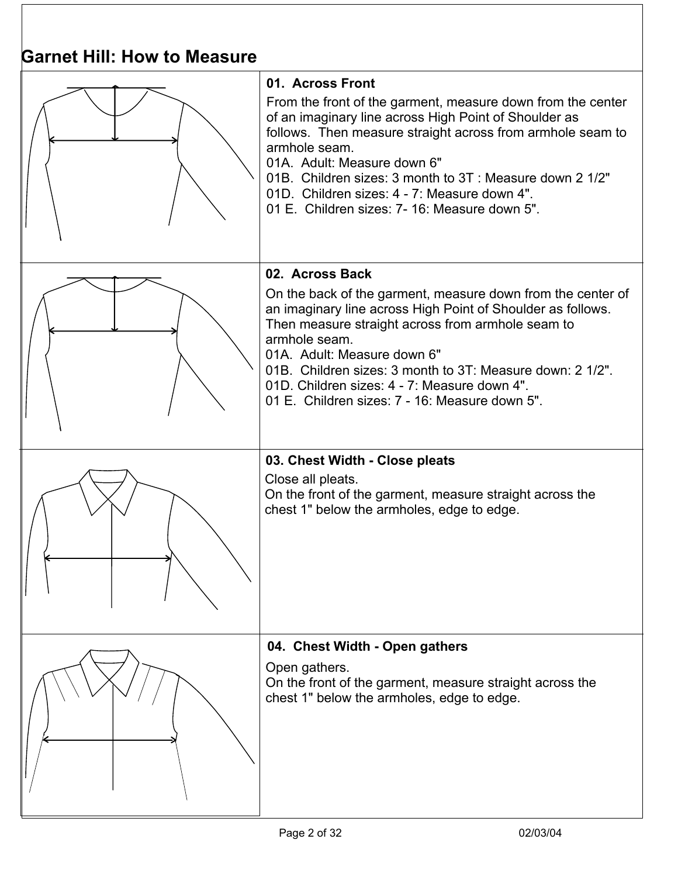| Garnet Hill: How to Measure |                                                                                                                                                                                                                                                                                                                                                                                                                   |
|-----------------------------|-------------------------------------------------------------------------------------------------------------------------------------------------------------------------------------------------------------------------------------------------------------------------------------------------------------------------------------------------------------------------------------------------------------------|
|                             | 01. Across Front<br>From the front of the garment, measure down from the center<br>of an imaginary line across High Point of Shoulder as<br>follows. Then measure straight across from armhole seam to<br>armhole seam.<br>01A. Adult: Measure down 6"<br>01B. Children sizes: 3 month to 3T: Measure down 2 1/2"<br>01D. Children sizes: 4 - 7: Measure down 4".<br>01 E. Children sizes: 7-16: Measure down 5". |
|                             | 02. Across Back<br>On the back of the garment, measure down from the center of<br>an imaginary line across High Point of Shoulder as follows.<br>Then measure straight across from armhole seam to<br>armhole seam.<br>01A. Adult: Measure down 6"<br>01B. Children sizes: 3 month to 3T: Measure down: 2 1/2".<br>01D. Children sizes: 4 - 7: Measure down 4".<br>01 E. Children sizes: 7 - 16: Measure down 5". |
|                             | 03. Chest Width - Close pleats<br>Close all pleats.<br>On the front of the garment, measure straight across the<br>chest 1" below the armholes, edge to edge.                                                                                                                                                                                                                                                     |
|                             | 04. Chest Width - Open gathers<br>Open gathers.<br>On the front of the garment, measure straight across the<br>chest 1" below the armholes, edge to edge.                                                                                                                                                                                                                                                         |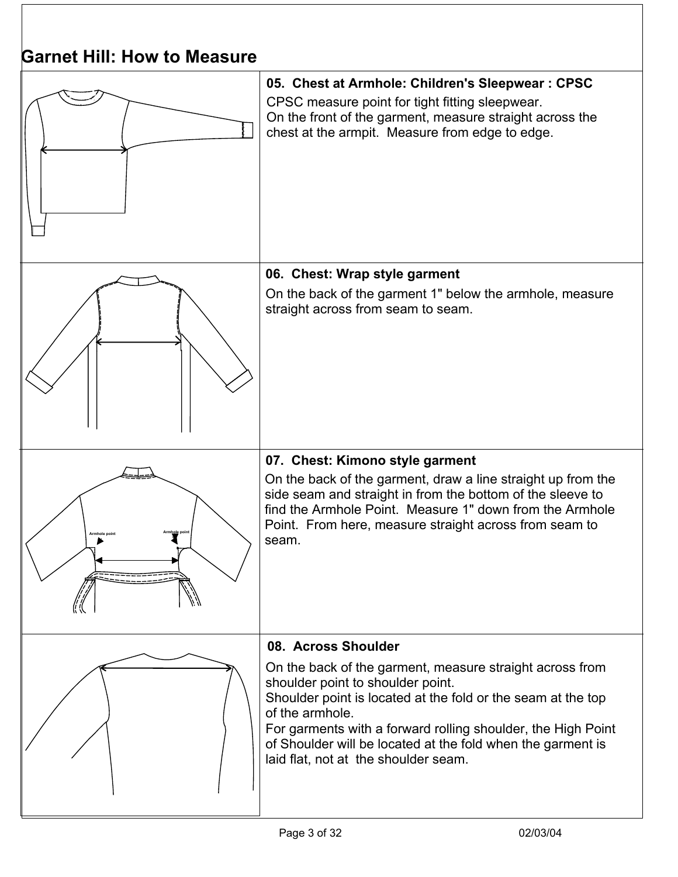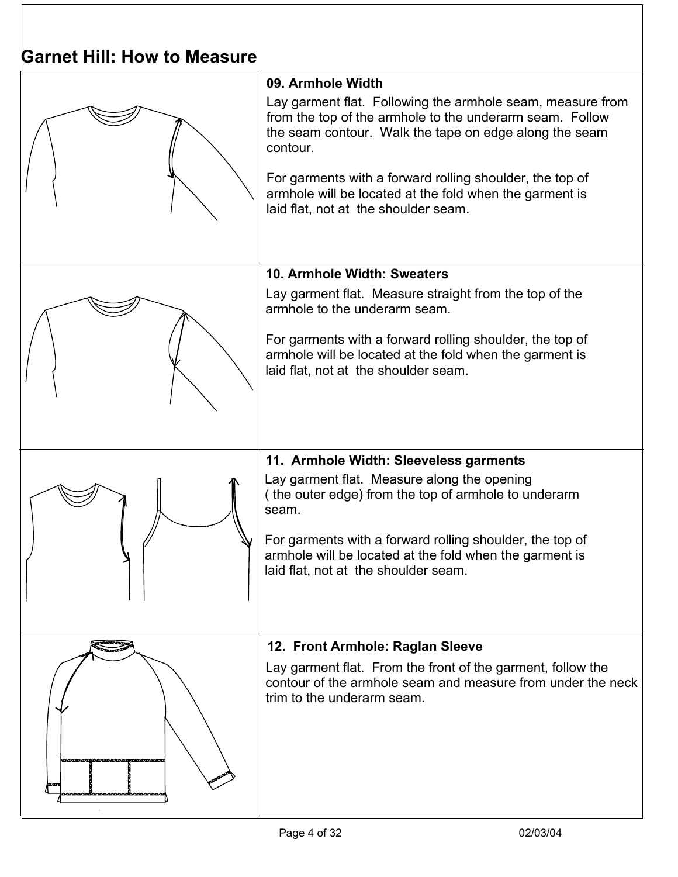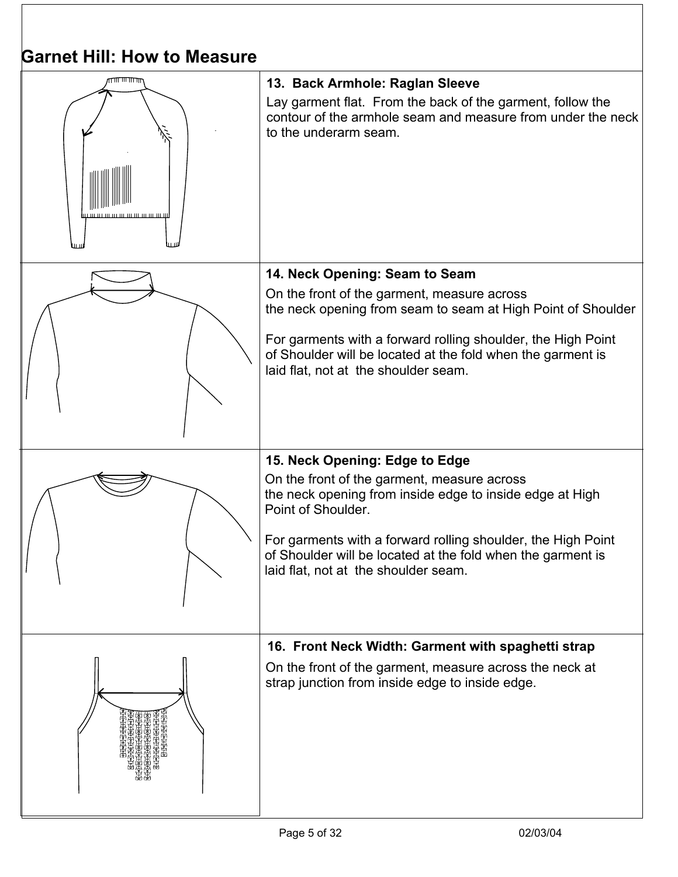| <b>Garnet Hill: How to Measure</b> |                                                                                                                                                                                                                                                                                                                                        |
|------------------------------------|----------------------------------------------------------------------------------------------------------------------------------------------------------------------------------------------------------------------------------------------------------------------------------------------------------------------------------------|
|                                    | 13. Back Armhole: Raglan Sleeve<br>Lay garment flat. From the back of the garment, follow the<br>contour of the armhole seam and measure from under the neck<br>to the underarm seam.                                                                                                                                                  |
|                                    | 14. Neck Opening: Seam to Seam<br>On the front of the garment, measure across<br>the neck opening from seam to seam at High Point of Shoulder<br>For garments with a forward rolling shoulder, the High Point<br>of Shoulder will be located at the fold when the garment is<br>laid flat, not at the shoulder seam.                   |
|                                    | 15. Neck Opening: Edge to Edge<br>On the front of the garment, measure across<br>the neck opening from inside edge to inside edge at High<br>Point of Shoulder.<br>For garments with a forward rolling shoulder, the High Point<br>of Shoulder will be located at the fold when the garment is<br>laid flat, not at the shoulder seam. |
|                                    | 16. Front Neck Width: Garment with spaghetti strap<br>On the front of the garment, measure across the neck at<br>strap junction from inside edge to inside edge.                                                                                                                                                                       |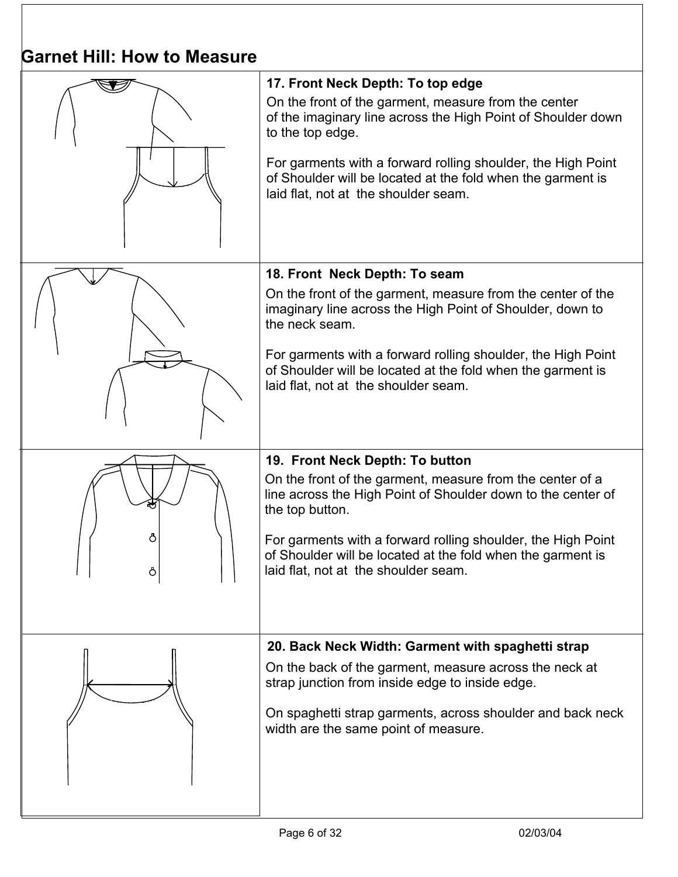| OAITIEL MIII. HOW LO MEASULE |                                                                                                                                                                                                                                                                                                                                                        |  |
|------------------------------|--------------------------------------------------------------------------------------------------------------------------------------------------------------------------------------------------------------------------------------------------------------------------------------------------------------------------------------------------------|--|
|                              | 17. Front Neck Depth: To top edge<br>On the front of the garment, measure from the center<br>of the imaginary line across the High Point of Shoulder down<br>to the top edge.<br>For garments with a forward rolling shoulder, the High Point<br>of Shoulder will be located at the fold when the garment is<br>laid flat, not at the shoulder seam.   |  |
|                              | 18. Front Neck Depth: To seam<br>On the front of the garment, measure from the center of the<br>imaginary line across the High Point of Shoulder, down to<br>the neck seam.<br>For garments with a forward rolling shoulder, the High Point<br>of Shoulder will be located at the fold when the garment is<br>laid flat, not at the shoulder seam.     |  |
| Ō                            | 19. Front Neck Depth: To button<br>On the front of the garment, measure from the center of a<br>line across the High Point of Shoulder down to the center of<br>the top button.<br>For garments with a forward rolling shoulder, the High Point<br>of Shoulder will be located at the fold when the garment is<br>laid flat, not at the shoulder seam. |  |
|                              | 20. Back Neck Width: Garment with spaghetti strap<br>On the back of the garment, measure across the neck at<br>strap junction from inside edge to inside edge.<br>On spaghetti strap garments, across shoulder and back neck<br>width are the same point of measure.                                                                                   |  |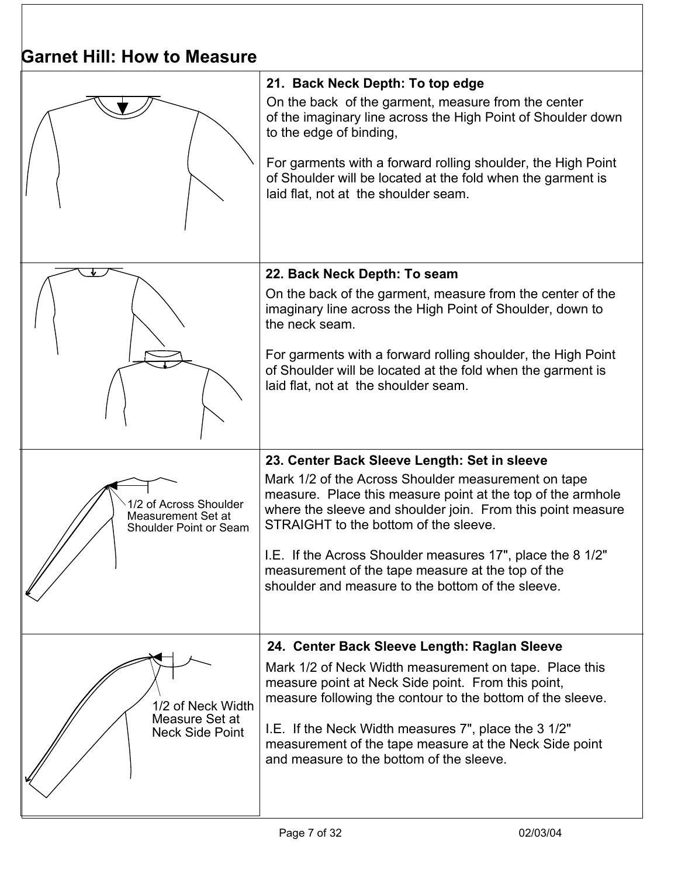| Odrijel Hiji. How lo measure                                           |                                                                                                                                                                                                                                                                                                                                                           |  |
|------------------------------------------------------------------------|-----------------------------------------------------------------------------------------------------------------------------------------------------------------------------------------------------------------------------------------------------------------------------------------------------------------------------------------------------------|--|
|                                                                        | 21. Back Neck Depth: To top edge<br>On the back of the garment, measure from the center<br>of the imaginary line across the High Point of Shoulder down<br>to the edge of binding,<br>For garments with a forward rolling shoulder, the High Point<br>of Shoulder will be located at the fold when the garment is<br>laid flat, not at the shoulder seam. |  |
|                                                                        |                                                                                                                                                                                                                                                                                                                                                           |  |
|                                                                        | 22. Back Neck Depth: To seam<br>On the back of the garment, measure from the center of the<br>imaginary line across the High Point of Shoulder, down to<br>the neck seam.                                                                                                                                                                                 |  |
|                                                                        | For garments with a forward rolling shoulder, the High Point<br>of Shoulder will be located at the fold when the garment is<br>laid flat, not at the shoulder seam.                                                                                                                                                                                       |  |
|                                                                        | 23. Center Back Sleeve Length: Set in sleeve                                                                                                                                                                                                                                                                                                              |  |
| 1/2 of Across Shoulder<br>Measurement Set at<br>Shoulder Point or Seam | Mark 1/2 of the Across Shoulder measurement on tape<br>measure. Place this measure point at the top of the armhole<br>where the sleeve and shoulder join. From this point measure<br>STRAIGHT to the bottom of the sleeve.                                                                                                                                |  |
|                                                                        | I.E. If the Across Shoulder measures 17", place the 8 1/2"<br>measurement of the tape measure at the top of the<br>shoulder and measure to the bottom of the sleeve.                                                                                                                                                                                      |  |
|                                                                        | 24. Center Back Sleeve Length: Raglan Sleeve                                                                                                                                                                                                                                                                                                              |  |
| 1/2 of Neck Width<br>Measure Set at<br><b>Neck Side Point</b>          | Mark 1/2 of Neck Width measurement on tape. Place this<br>measure point at Neck Side point. From this point,<br>measure following the contour to the bottom of the sleeve.<br>I.E. If the Neck Width measures 7", place the 3 1/2"<br>measurement of the tape measure at the Neck Side point<br>and measure to the bottom of the sleeve.                  |  |
|                                                                        |                                                                                                                                                                                                                                                                                                                                                           |  |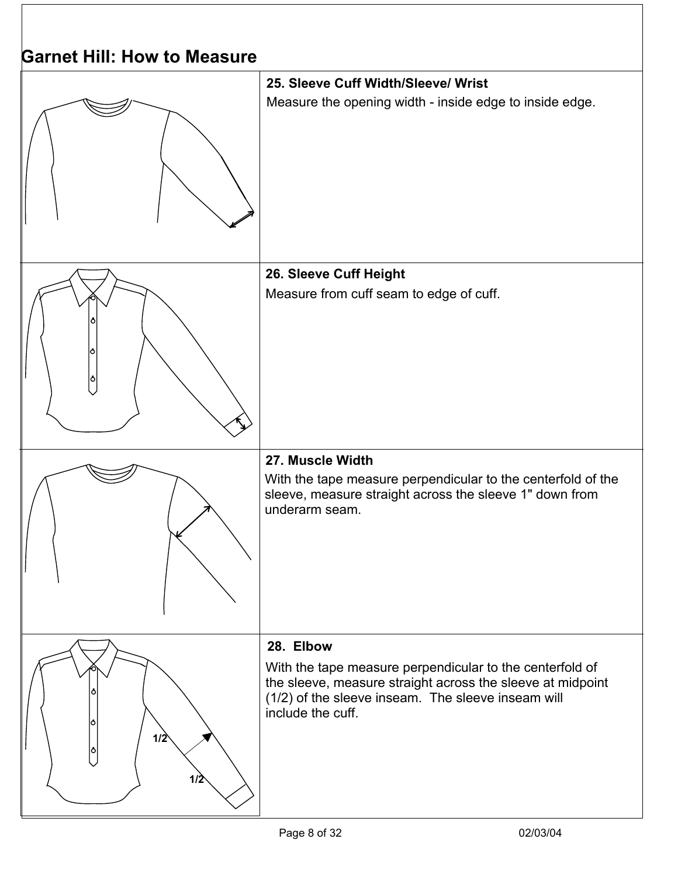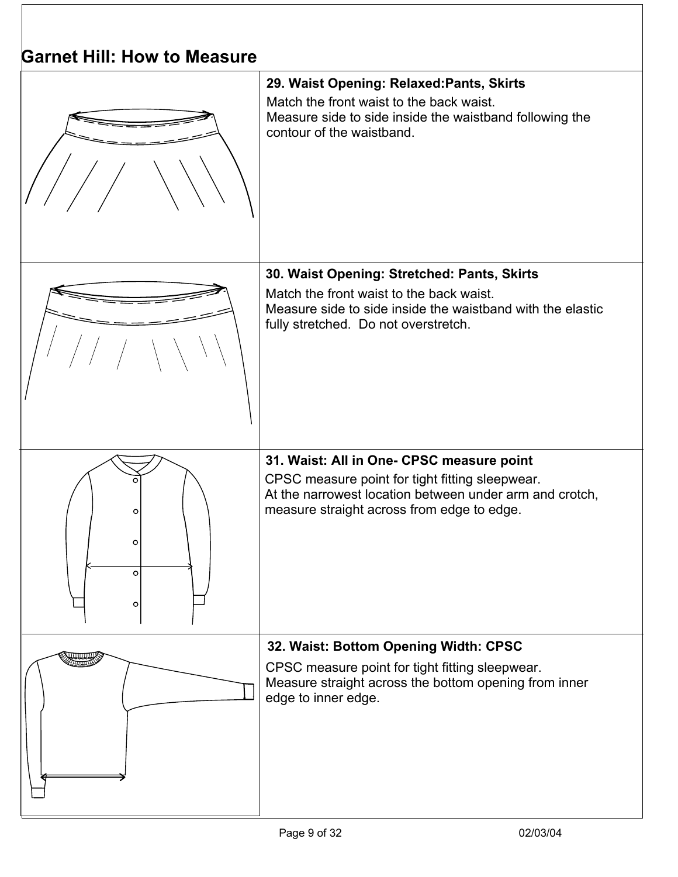| <b>Garnet Hill: How to Measure</b> |                                                                                                                                                                                                       |
|------------------------------------|-------------------------------------------------------------------------------------------------------------------------------------------------------------------------------------------------------|
|                                    | 29. Waist Opening: Relaxed: Pants, Skirts<br>Match the front waist to the back waist.<br>Measure side to side inside the waistband following the<br>contour of the waistband.                         |
|                                    | 30. Waist Opening: Stretched: Pants, Skirts<br>Match the front waist to the back waist.<br>Measure side to side inside the waistband with the elastic<br>fully stretched. Do not overstretch.         |
| O<br>O<br>$\circ$<br>$\circ$       | 31. Waist: All in One- CPSC measure point<br>CPSC measure point for tight fitting sleepwear.<br>At the narrowest location between under arm and crotch,<br>measure straight across from edge to edge. |
|                                    | 32. Waist: Bottom Opening Width: CPSC<br>CPSC measure point for tight fitting sleepwear.<br>Measure straight across the bottom opening from inner<br>edge to inner edge.                              |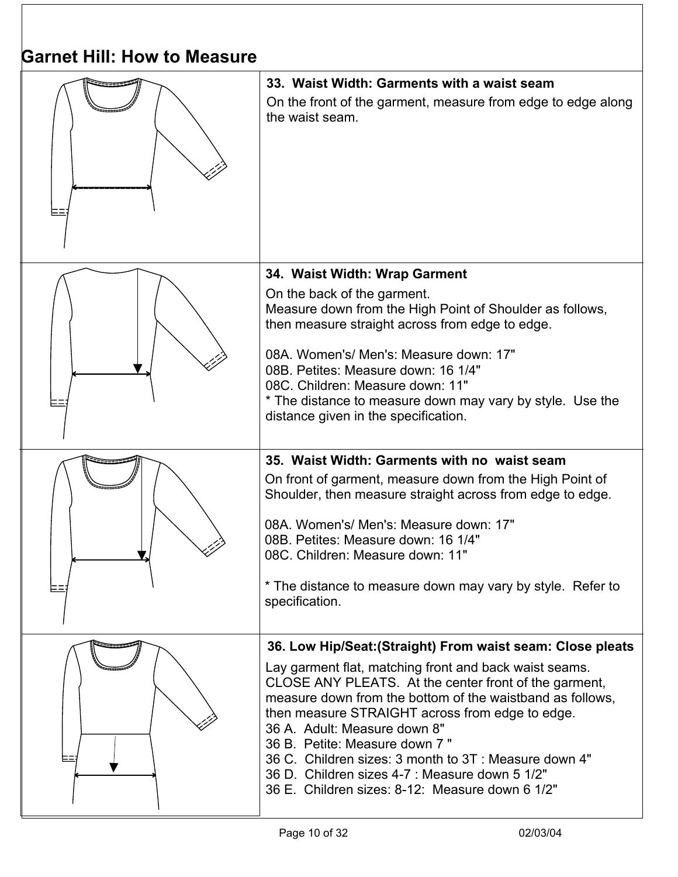| Garnet Hill: How to Measure |                                                                                                                                                                                                                                                                                                                                                                                                                                                                                                                             |  |
|-----------------------------|-----------------------------------------------------------------------------------------------------------------------------------------------------------------------------------------------------------------------------------------------------------------------------------------------------------------------------------------------------------------------------------------------------------------------------------------------------------------------------------------------------------------------------|--|
|                             | 33. Waist Width: Garments with a waist seam<br>On the front of the garment, measure from edge to edge along<br>the waist seam.                                                                                                                                                                                                                                                                                                                                                                                              |  |
|                             | 34. Waist Width: Wrap Garment<br>On the back of the garment.<br>Measure down from the High Point of Shoulder as follows,<br>then measure straight across from edge to edge.<br>08A. Women's/ Men's: Measure down: 17"<br>08B. Petites: Measure down: 16 1/4"<br>08C. Children: Measure down: 11"<br>* The distance to measure down may vary by style. Use the<br>distance given in the specification.                                                                                                                       |  |
|                             | 35. Waist Width: Garments with no waist seam<br>On front of garment, measure down from the High Point of<br>Shoulder, then measure straight across from edge to edge.<br>08A. Women's/ Men's: Measure down: 17"<br>08B. Petites: Measure down: 16 1/4"<br>08C. Children: Measure down: 11"<br>* The distance to measure down may vary by style. Refer to<br>specification.                                                                                                                                                  |  |
|                             | 36. Low Hip/Seat: (Straight) From waist seam: Close pleats<br>Lay garment flat, matching front and back waist seams.<br>CLOSE ANY PLEATS. At the center front of the garment,<br>measure down from the bottom of the waistband as follows.<br>then measure STRAIGHT across from edge to edge.<br>36 A. Adult: Measure down 8"<br>36 B. Petite: Measure down 7"<br>36 C. Children sizes: 3 month to 3T: Measure down 4"<br>36 D. Children sizes 4-7 : Measure down 5 1/2"<br>36 E. Children sizes: 8-12: Measure down 6 1/2" |  |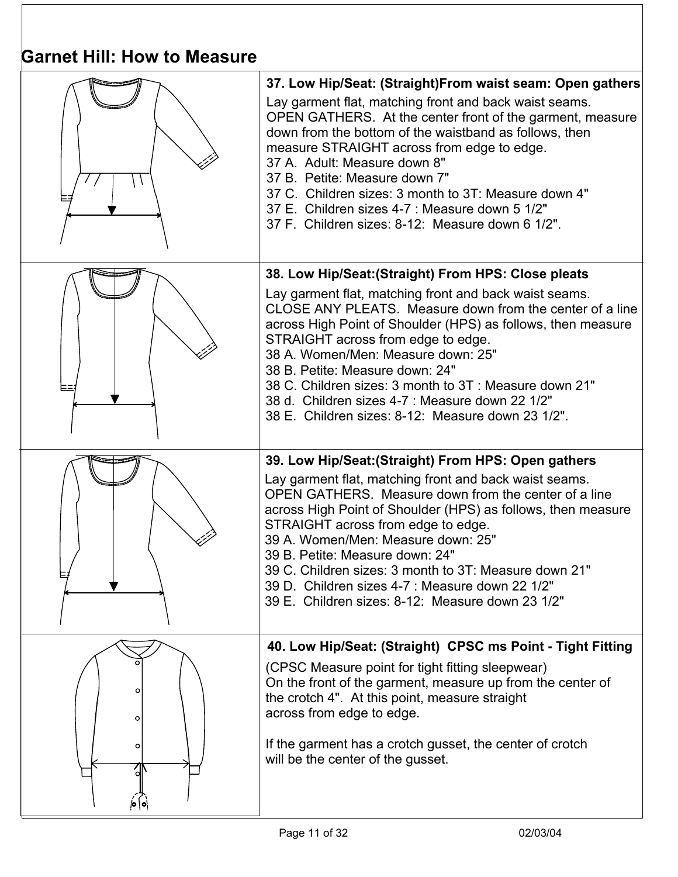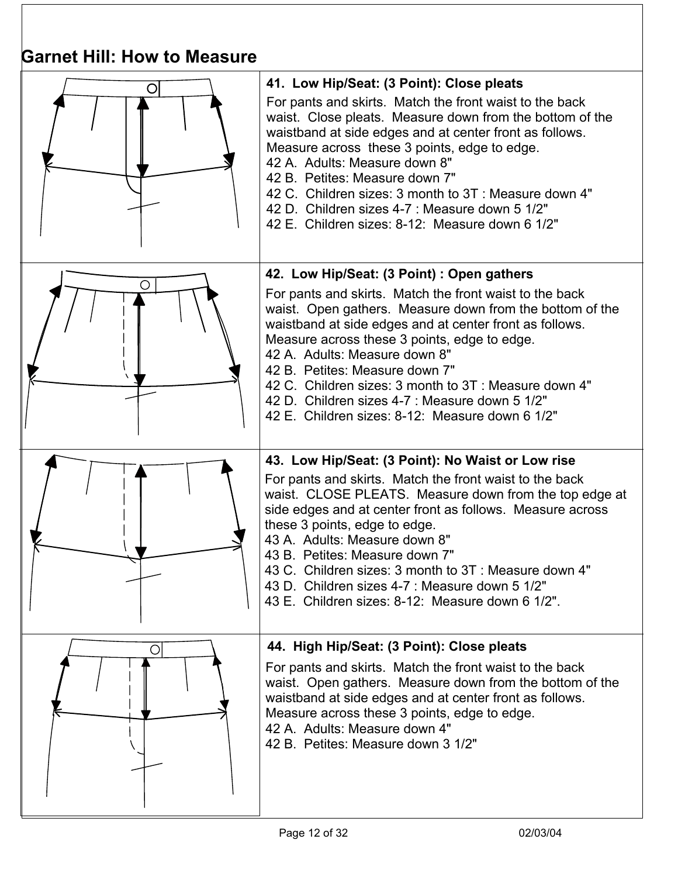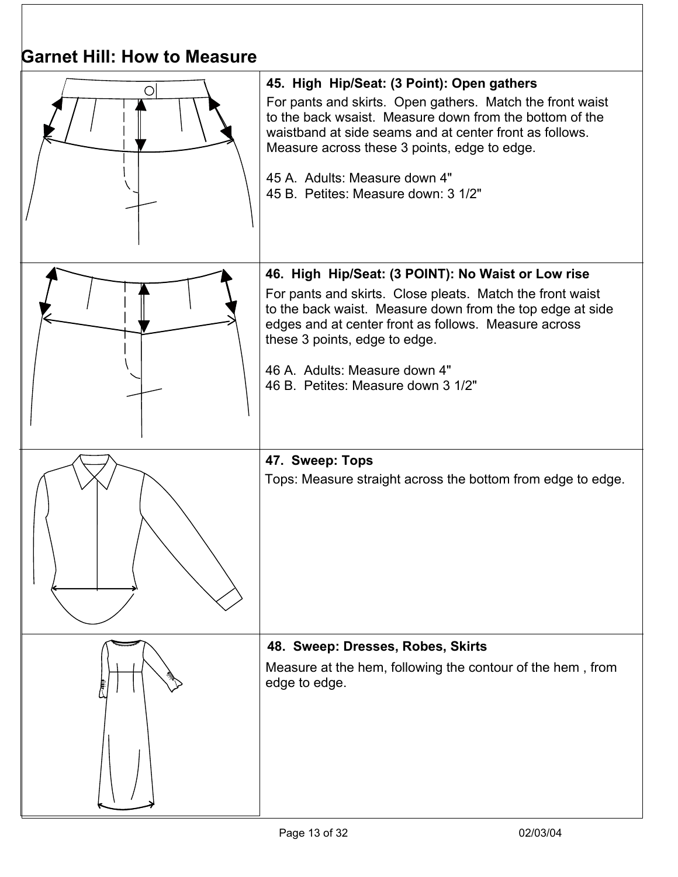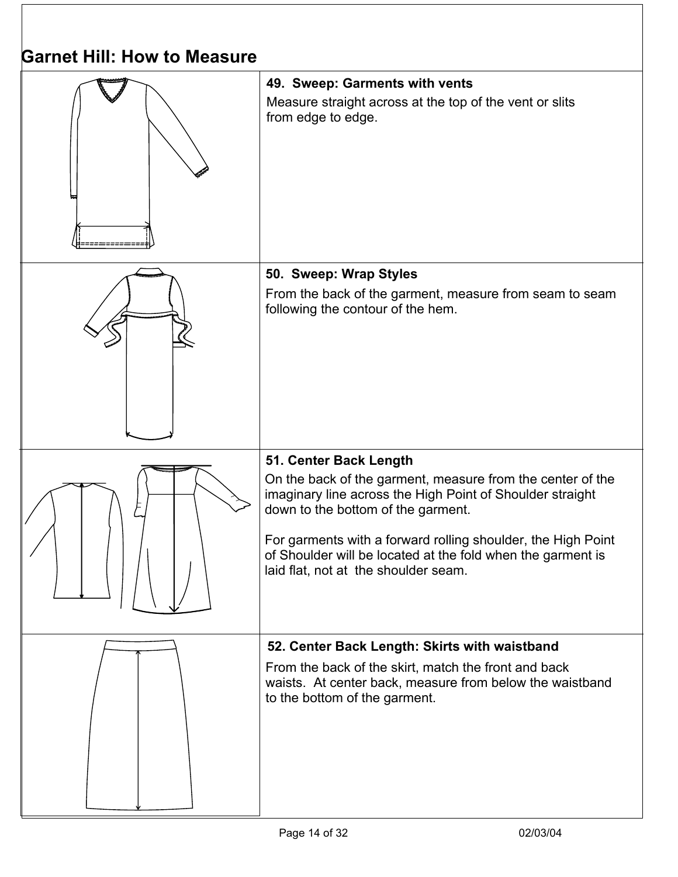| <b>Garnet Hill: How to Measure</b> |                                                                                                                                                                                                                                                                                                                                                                |  |
|------------------------------------|----------------------------------------------------------------------------------------------------------------------------------------------------------------------------------------------------------------------------------------------------------------------------------------------------------------------------------------------------------------|--|
|                                    | 49. Sweep: Garments with vents<br>Measure straight across at the top of the vent or slits<br>from edge to edge.                                                                                                                                                                                                                                                |  |
|                                    | 50. Sweep: Wrap Styles<br>From the back of the garment, measure from seam to seam<br>following the contour of the hem.                                                                                                                                                                                                                                         |  |
|                                    | 51. Center Back Length<br>On the back of the garment, measure from the center of the<br>imaginary line across the High Point of Shoulder straight<br>down to the bottom of the garment.<br>For garments with a forward rolling shoulder, the High Point<br>of Shoulder will be located at the fold when the garment is<br>laid flat, not at the shoulder seam. |  |
|                                    | 52. Center Back Length: Skirts with waistband<br>From the back of the skirt, match the front and back<br>waists. At center back, measure from below the waistband<br>to the bottom of the garment.                                                                                                                                                             |  |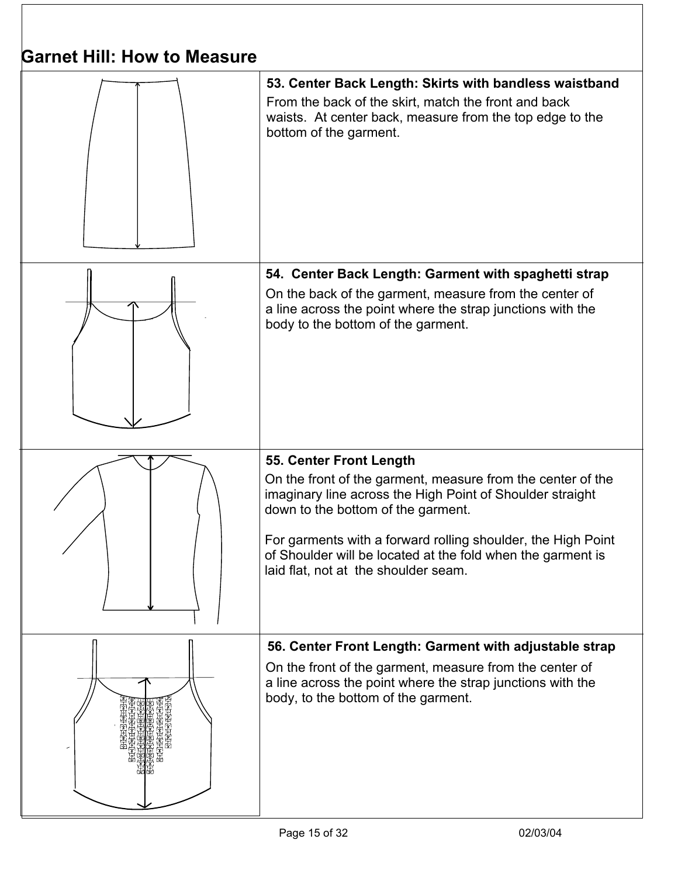

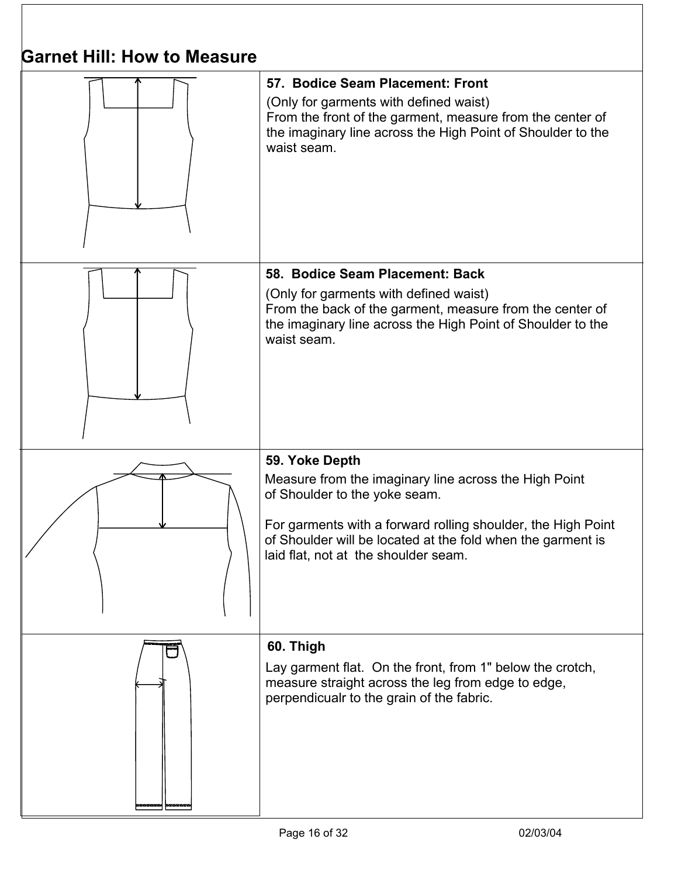| OAITICL MIII. MOW LO IVICASUI C |                                                                                                                                                                                                                                                                                 |  |
|---------------------------------|---------------------------------------------------------------------------------------------------------------------------------------------------------------------------------------------------------------------------------------------------------------------------------|--|
|                                 | 57. Bodice Seam Placement: Front<br>(Only for garments with defined waist)<br>From the front of the garment, measure from the center of<br>the imaginary line across the High Point of Shoulder to the<br>waist seam.                                                           |  |
|                                 | 58. Bodice Seam Placement: Back<br>(Only for garments with defined waist)<br>From the back of the garment, measure from the center of<br>the imaginary line across the High Point of Shoulder to the<br>waist seam.                                                             |  |
|                                 | 59. Yoke Depth<br>Measure from the imaginary line across the High Point<br>of Shoulder to the yoke seam.<br>For garments with a forward rolling shoulder, the High Point<br>of Shoulder will be located at the fold when the garment is<br>laid flat, not at the shoulder seam. |  |
| ר                               | 60. Thigh<br>Lay garment flat. On the front, from 1" below the crotch,<br>measure straight across the leg from edge to edge,<br>perpendicualr to the grain of the fabric.                                                                                                       |  |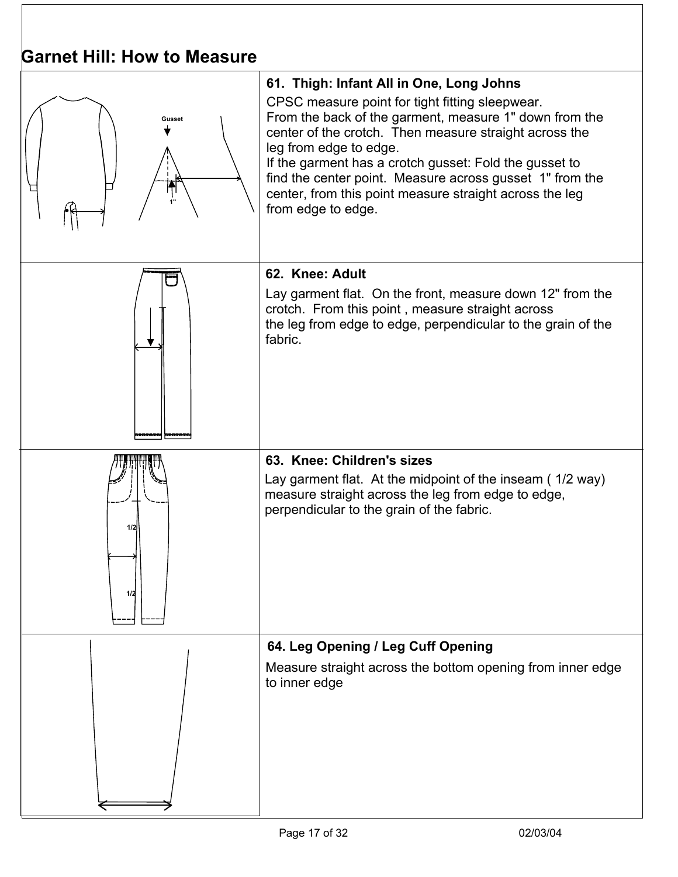| Garnet Hill: How to Measure |                                                                                                                                                                                                                                                                                                                                                                                                                                                  |  |
|-----------------------------|--------------------------------------------------------------------------------------------------------------------------------------------------------------------------------------------------------------------------------------------------------------------------------------------------------------------------------------------------------------------------------------------------------------------------------------------------|--|
| Gusset<br>Ħ                 | 61. Thigh: Infant All in One, Long Johns<br>CPSC measure point for tight fitting sleepwear.<br>From the back of the garment, measure 1" down from the<br>center of the crotch. Then measure straight across the<br>leg from edge to edge.<br>If the garment has a crotch gusset: Fold the gusset to<br>find the center point. Measure across gusset 1" from the<br>center, from this point measure straight across the leg<br>from edge to edge. |  |
|                             | 62. Knee: Adult<br>Lay garment flat. On the front, measure down 12" from the<br>crotch. From this point, measure straight across<br>the leg from edge to edge, perpendicular to the grain of the<br>fabric.                                                                                                                                                                                                                                      |  |
| 1/2<br>1/2                  | 63. Knee: Children's sizes<br>Lay garment flat. At the midpoint of the inseam (1/2 way)<br>measure straight across the leg from edge to edge,<br>perpendicular to the grain of the fabric.                                                                                                                                                                                                                                                       |  |
|                             | 64. Leg Opening / Leg Cuff Opening<br>Measure straight across the bottom opening from inner edge<br>to inner edge                                                                                                                                                                                                                                                                                                                                |  |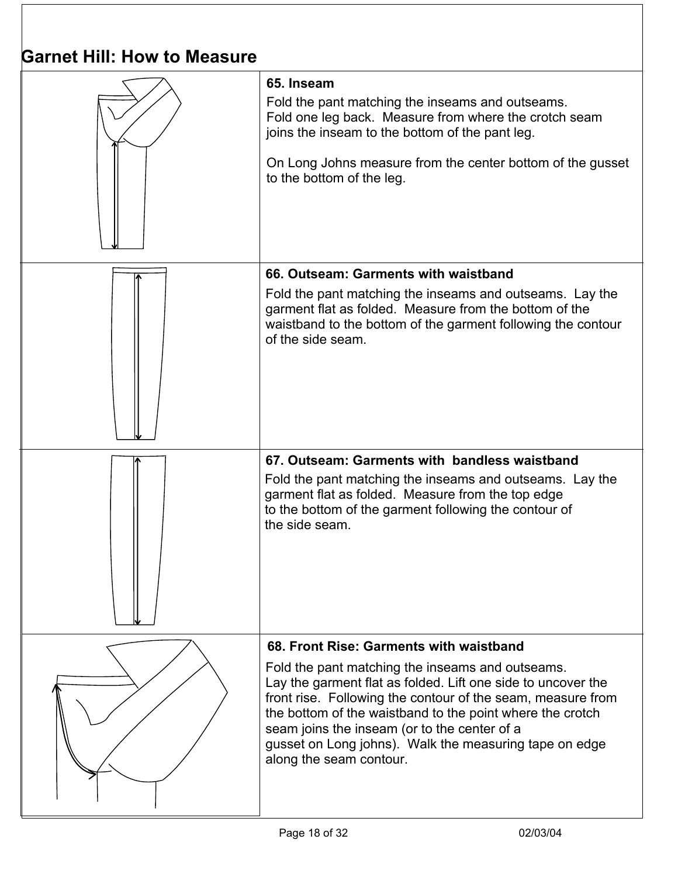| PANIC HIII. HOW LO MCQJULU |                                                                                                                                                                                                                                                                                                                                                                                                                              |  |
|----------------------------|------------------------------------------------------------------------------------------------------------------------------------------------------------------------------------------------------------------------------------------------------------------------------------------------------------------------------------------------------------------------------------------------------------------------------|--|
|                            | 65. Inseam<br>Fold the pant matching the inseams and outseams.<br>Fold one leg back. Measure from where the crotch seam<br>joins the inseam to the bottom of the pant leg.<br>On Long Johns measure from the center bottom of the gusset<br>to the bottom of the leg.                                                                                                                                                        |  |
|                            | 66. Outseam: Garments with waistband<br>Fold the pant matching the inseams and outseams. Lay the<br>garment flat as folded. Measure from the bottom of the<br>waistband to the bottom of the garment following the contour<br>of the side seam.                                                                                                                                                                              |  |
|                            | 67. Outseam: Garments with bandless waistband<br>Fold the pant matching the inseams and outseams. Lay the<br>garment flat as folded. Measure from the top edge<br>to the bottom of the garment following the contour of<br>the side seam.                                                                                                                                                                                    |  |
|                            | 68. Front Rise: Garments with waistband<br>Fold the pant matching the inseams and outseams.<br>Lay the garment flat as folded. Lift one side to uncover the<br>front rise. Following the contour of the seam, measure from<br>the bottom of the waistband to the point where the crotch<br>seam joins the inseam (or to the center of a<br>gusset on Long johns). Walk the measuring tape on edge<br>along the seam contour. |  |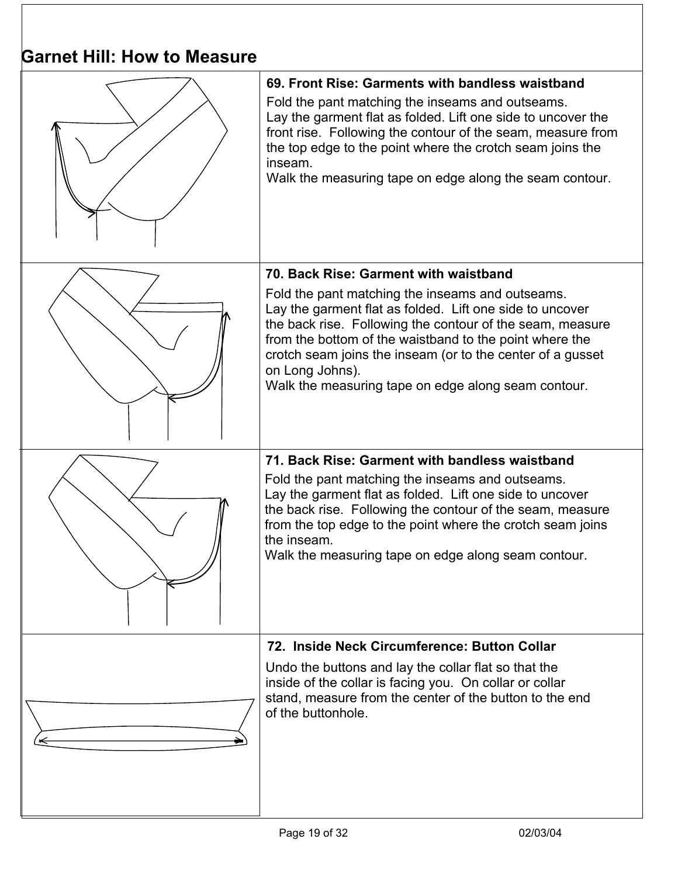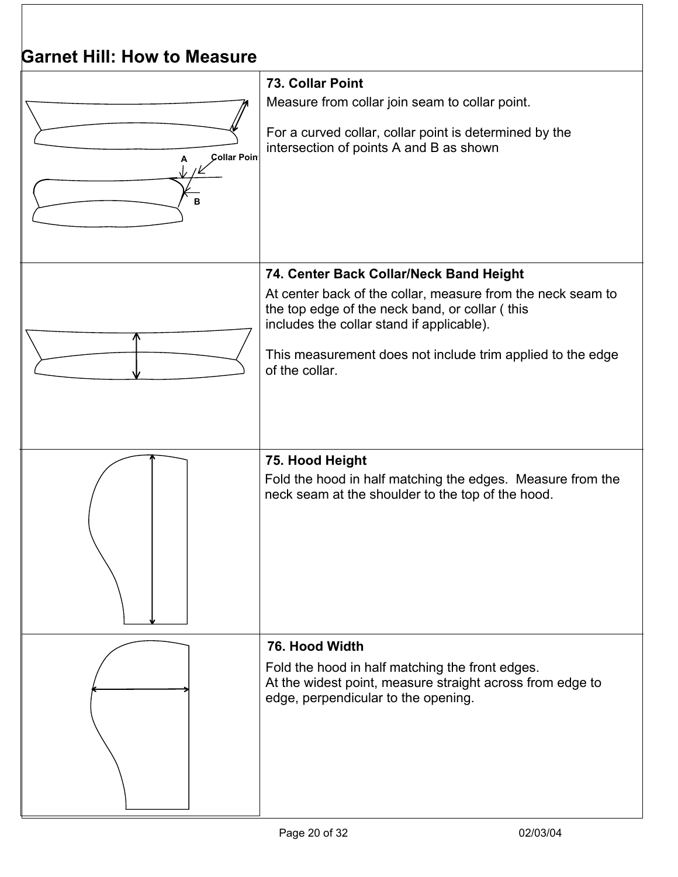| <b>Garnet Hill: How to Measure</b> |                                                                                                                                                                                                                                                                                       |
|------------------------------------|---------------------------------------------------------------------------------------------------------------------------------------------------------------------------------------------------------------------------------------------------------------------------------------|
| <b>Collar Poin</b><br>B            | 73. Collar Point<br>Measure from collar join seam to collar point.<br>For a curved collar, collar point is determined by the<br>intersection of points A and B as shown                                                                                                               |
|                                    | 74. Center Back Collar/Neck Band Height<br>At center back of the collar, measure from the neck seam to<br>the top edge of the neck band, or collar (this<br>includes the collar stand if applicable).<br>This measurement does not include trim applied to the edge<br>of the collar. |
|                                    | 75. Hood Height<br>Fold the hood in half matching the edges. Measure from the<br>neck seam at the shoulder to the top of the hood.                                                                                                                                                    |
|                                    | 76. Hood Width<br>Fold the hood in half matching the front edges.<br>At the widest point, measure straight across from edge to<br>edge, perpendicular to the opening.                                                                                                                 |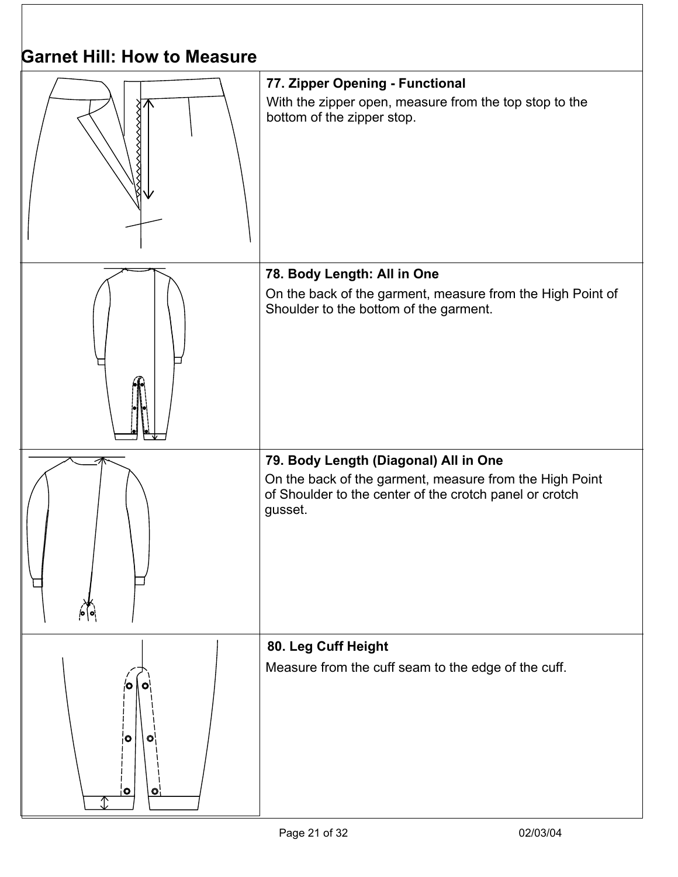| Garnet Hill: How to Measure  |                                                                                                                                                                        |  |
|------------------------------|------------------------------------------------------------------------------------------------------------------------------------------------------------------------|--|
|                              | 77. Zipper Opening - Functional<br>With the zipper open, measure from the top stop to the<br>bottom of the zipper stop.                                                |  |
|                              | 78. Body Length: All in One<br>On the back of the garment, measure from the High Point of<br>Shoulder to the bottom of the garment.                                    |  |
|                              | 79. Body Length (Diagonal) All in One<br>On the back of the garment, measure from the High Point<br>of Shoulder to the center of the crotch panel or crotch<br>gusset. |  |
| $\circ$<br>O<br>$\circ$<br>O | 80. Leg Cuff Height<br>Measure from the cuff seam to the edge of the cuff.                                                                                             |  |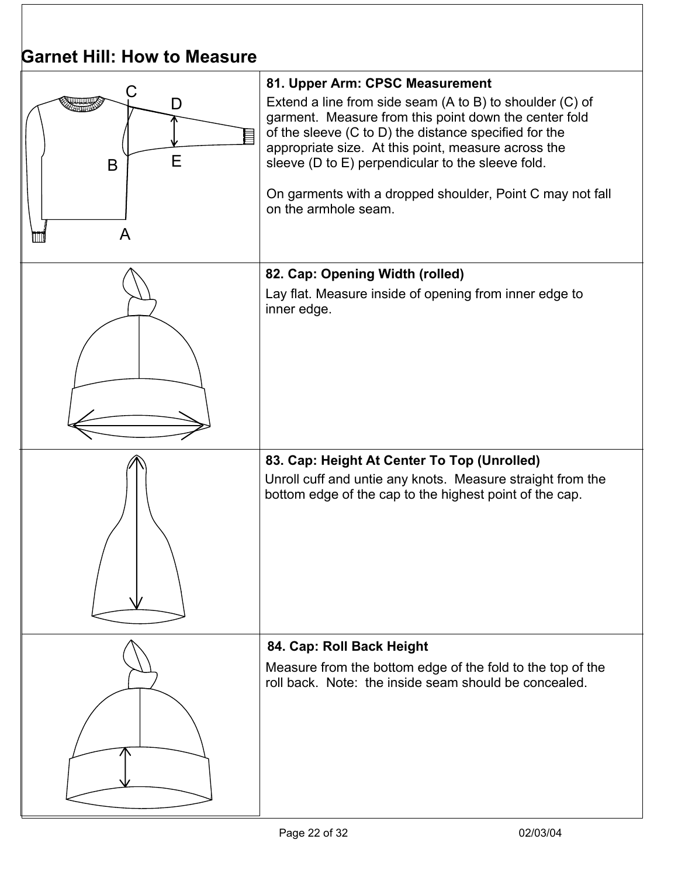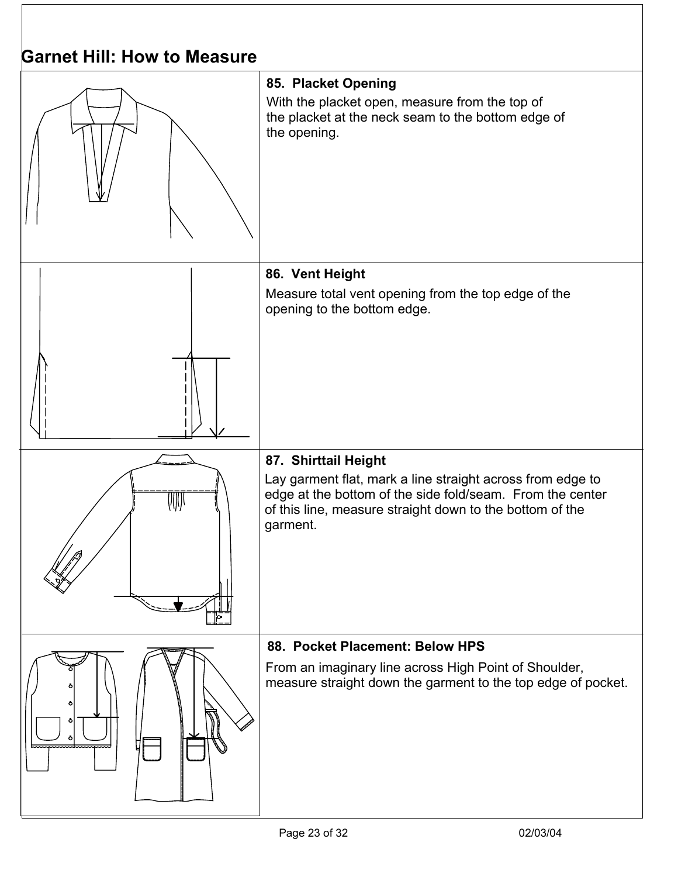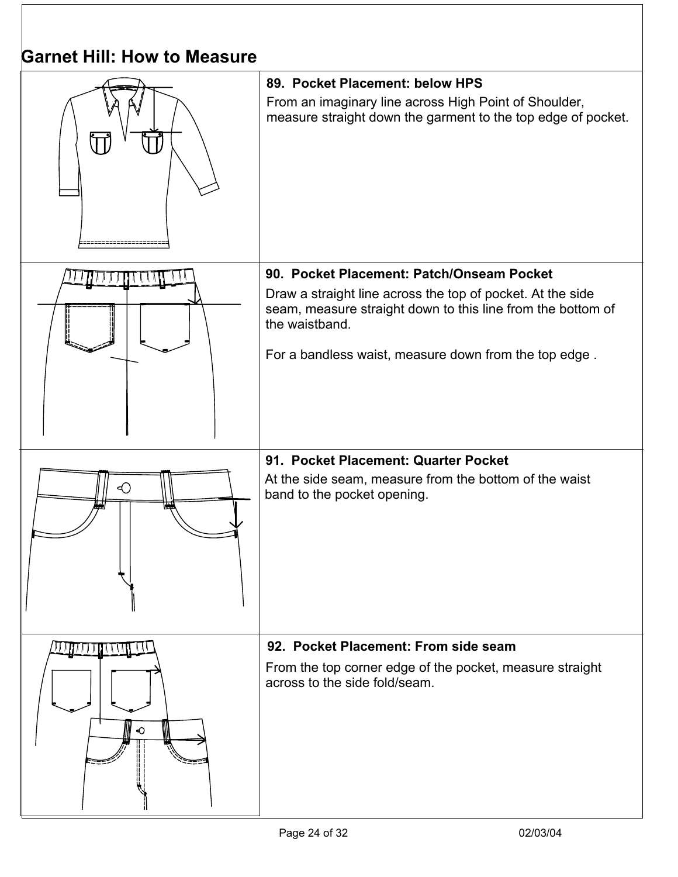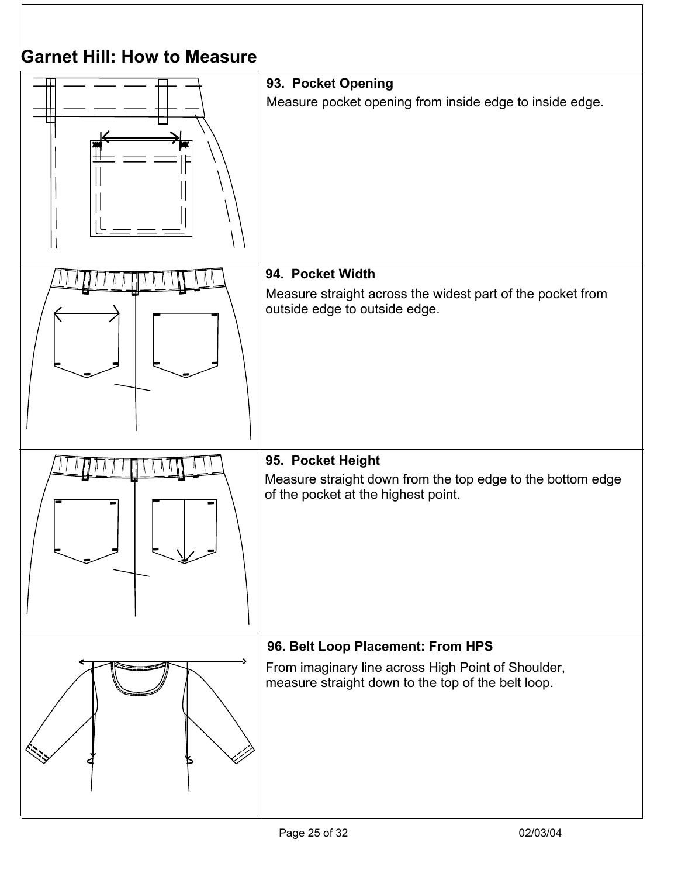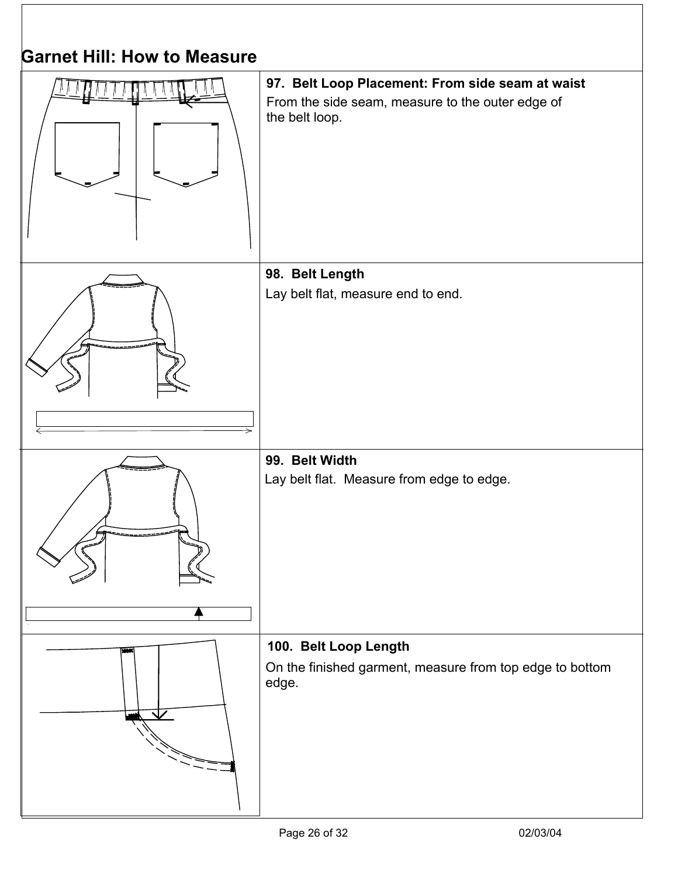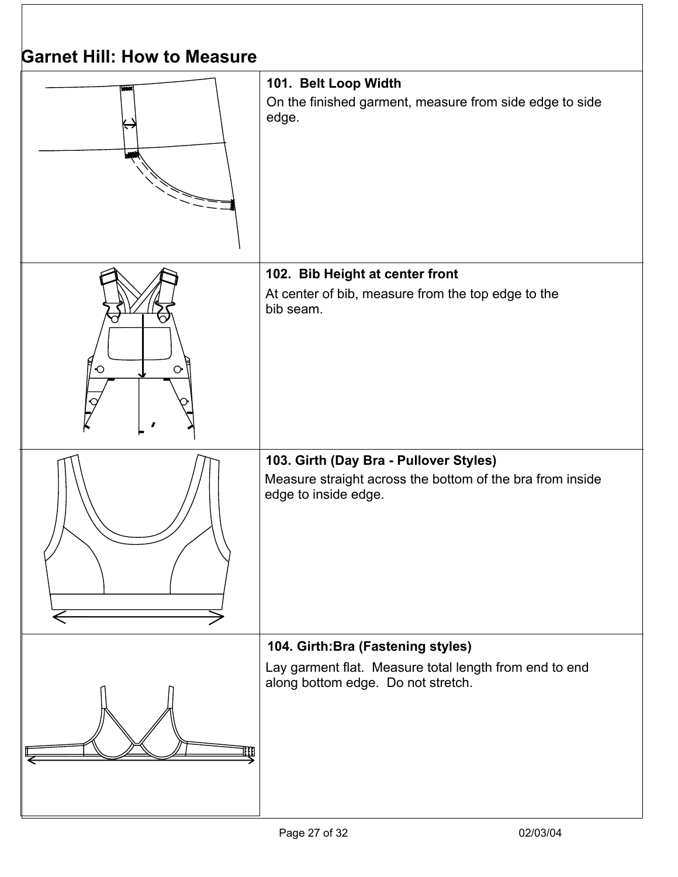| <b>Darnet Hill: How to Measure</b> |                                                                                                                                    |
|------------------------------------|------------------------------------------------------------------------------------------------------------------------------------|
|                                    | 101. Belt Loop Width<br>On the finished garment, measure from side edge to side<br>edge.                                           |
| $\circ$<br>$\bigcirc$              | 102. Bib Height at center front<br>At center of bib, measure from the top edge to the<br>bib seam.                                 |
|                                    | 103. Girth (Day Bra - Pullover Styles)<br>Measure straight across the bottom of the bra from inside<br>edge to inside edge.        |
|                                    | 104. Girth: Bra (Fastening styles)<br>Lay garment flat. Measure total length from end to end<br>along bottom edge. Do not stretch. |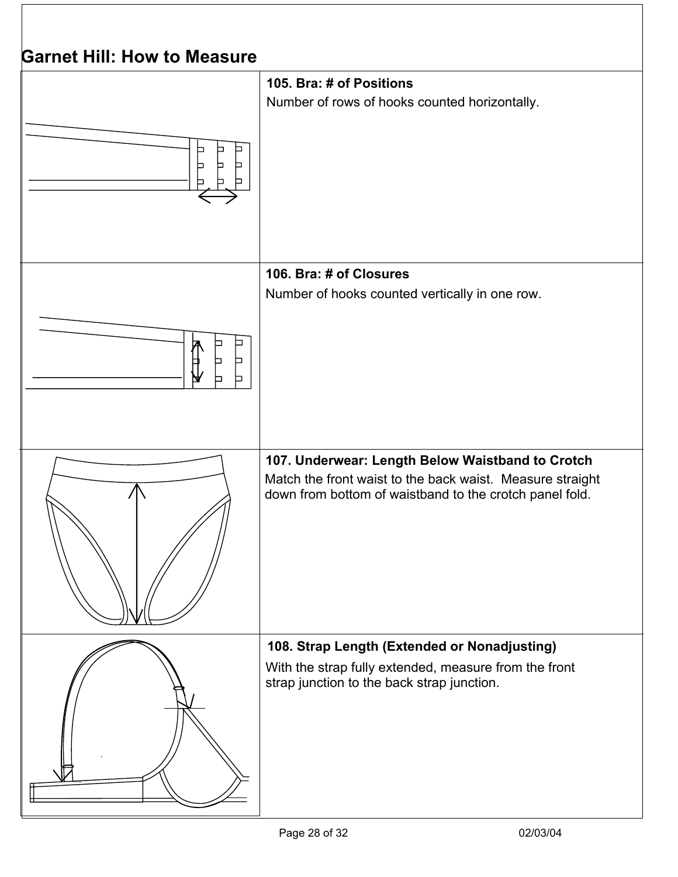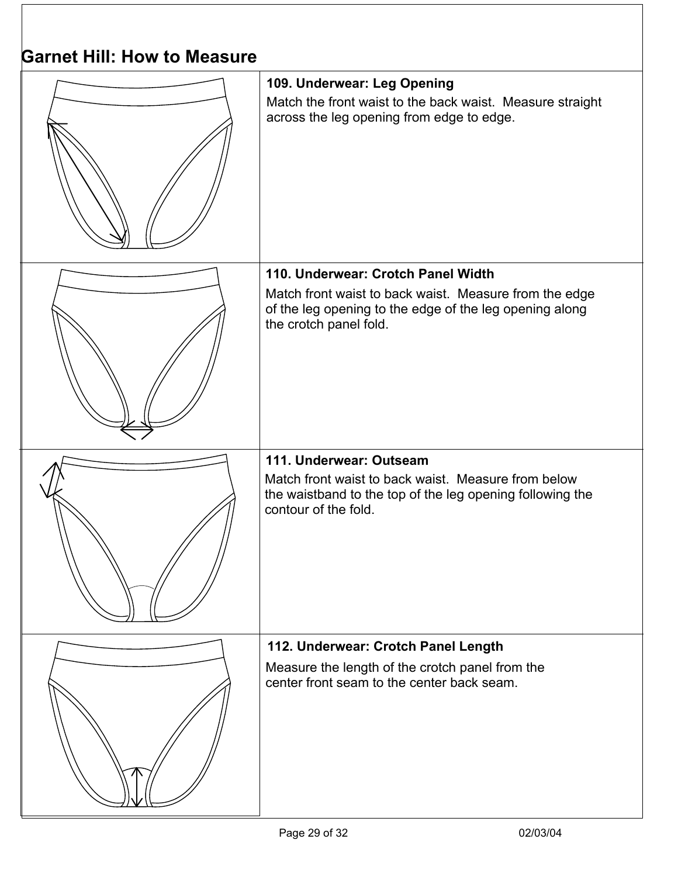| Garnet Hill: How to Measure |                                                                                                                                                                     |
|-----------------------------|---------------------------------------------------------------------------------------------------------------------------------------------------------------------|
|                             | 109. Underwear: Leg Opening<br>Match the front waist to the back waist. Measure straight<br>across the leg opening from edge to edge.                               |
|                             | 110. Underwear: Crotch Panel Width                                                                                                                                  |
|                             | Match front waist to back waist. Measure from the edge<br>of the leg opening to the edge of the leg opening along<br>the crotch panel fold.                         |
|                             | 111. Underwear: Outseam<br>Match front waist to back waist. Measure from below<br>the waistband to the top of the leg opening following the<br>contour of the fold. |
|                             | 112. Underwear: Crotch Panel Length                                                                                                                                 |
|                             | Measure the length of the crotch panel from the<br>center front seam to the center back seam.                                                                       |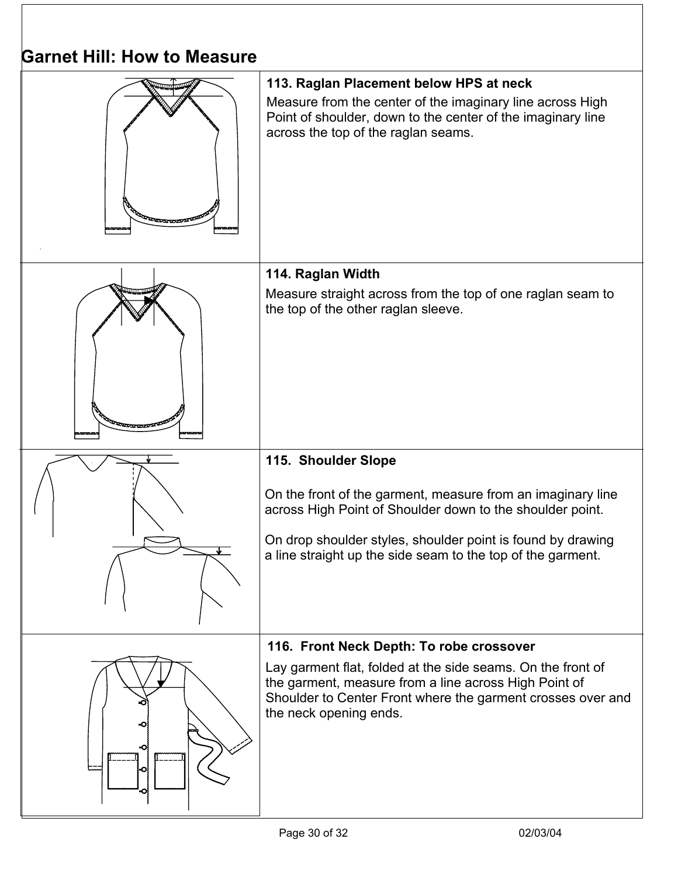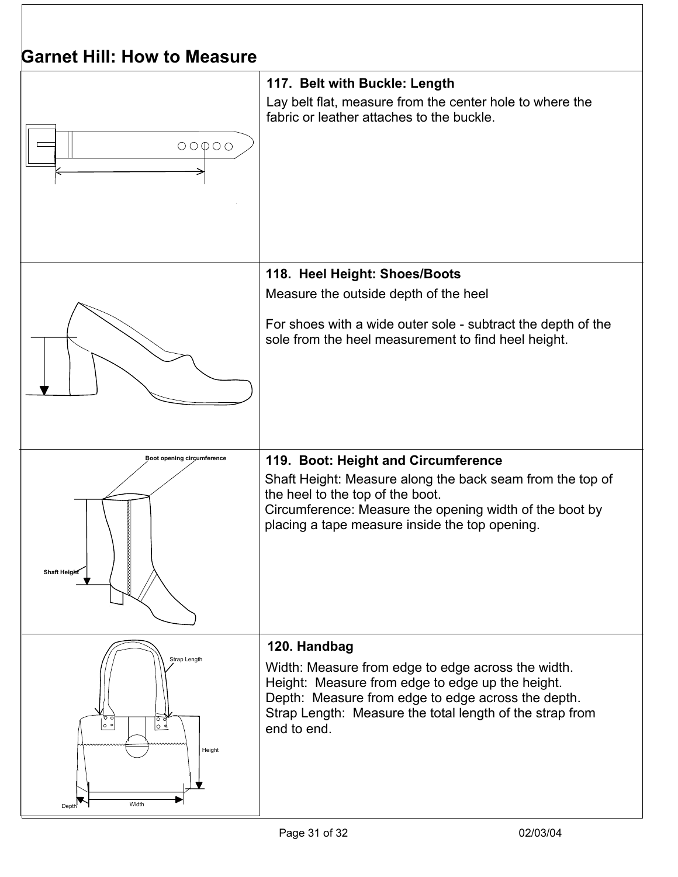